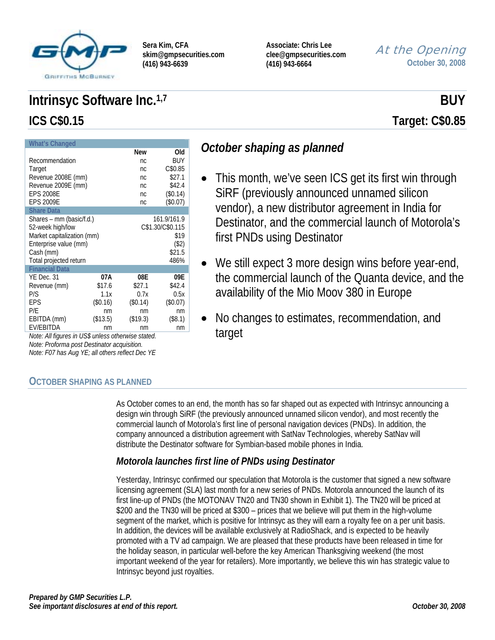

**Associate: Chris Lee clee@gmpsecurities.com (416) 943-6664** 

# At the Opening **October 30, 2008**

# **Intrinsyc Software Inc.**<sup>1,7</sup> BUY **ICS C\$0.15 Target: C\$0.85**

**What's Change New Old**<br> **nc** BUY Recommendation nc Target nc C\$0.85 Revenue 2008E (mm) 10 10 10 10 12 13 14 16 17 18 18 19 19 10 11 12 12 13 14 15 16 16 17 18 18 19 19 10 11 12 1 Revenue 2009E (mm) 10 10 10 10 12.4 EPS 2008E nc (\$0.14) EPS 2009E nc (\$0.07) **Share Data**  Shares – mm (basic/f.d.) 161.9/161.9<br>52-week high/low C\$1.30/C\$0.115 52-week high/low Market capitalization (mm) \$19<br>Enterprise value (mm) (\$2) Enterprise value (mm) Cash (mm) \$21.5 Total projected return 486% **Financial Data**  YE Dec. 31 **07A 08E 09E**  Revenue (mm)  $$17.6$  \$27.1 \$42.4 P/S 1.1x 0.7x 0.5x EPS (\$0.16) (\$0.14) (\$0.07)<br>P/E nm nm nm nm P/E nm nm nm nm EBITDA (mm) (\$13.5) (\$19.3) (\$8.1) EV/EBITDA nm nm nm

*Note: All figures in US\$ unless otherwise stated. Note: Proforma post Destinator acquisition. Note: F07 has Aug YE; all others reflect Dec YE* 

# **OCTOBER SHAPING AS PLANNED**

# *October shaping as planned*

- This month, we've seen ICS get its first win through SiRF (previously announced unnamed silicon vendor), a new distributor agreement in India for Destinator, and the commercial launch of Motorola's first PNDs using Destinator
- We still expect 3 more design wins before year-end, the commercial launch of the Quanta device, and the availability of the Mio Moov 380 in Europe
- No changes to estimates, recommendation, and target

As October comes to an end, the month has so far shaped out as expected with Intrinsyc announcing a design win through SiRF (the previously announced unnamed silicon vendor), and most recently the commercial launch of Motorola's first line of personal navigation devices (PNDs). In addition, the company announced a distribution agreement with SatNav Technologies, whereby SatNav will distribute the Destinator software for Symbian-based mobile phones in India.

# *Motorola launches first line of PNDs using Destinator*

Yesterday, Intrinsyc confirmed our speculation that Motorola is the customer that signed a new software licensing agreement (SLA) last month for a new series of PNDs. Motorola announced the launch of its first line-up of PNDs (the MOTONAV TN20 and TN30 shown in Exhibit 1). The TN20 will be priced at \$200 and the TN30 will be priced at \$300 – prices that we believe will put them in the high-volume segment of the market, which is positive for Intrinsyc as they will earn a royalty fee on a per unit basis. In addition, the devices will be available exclusively at RadioShack, and is expected to be heavily promoted with a TV ad campaign. We are pleased that these products have been released in time for the holiday season, in particular well-before the key American Thanksgiving weekend (the most important weekend of the year for retailers). More importantly, we believe this win has strategic value to Intrinsyc beyond just royalties.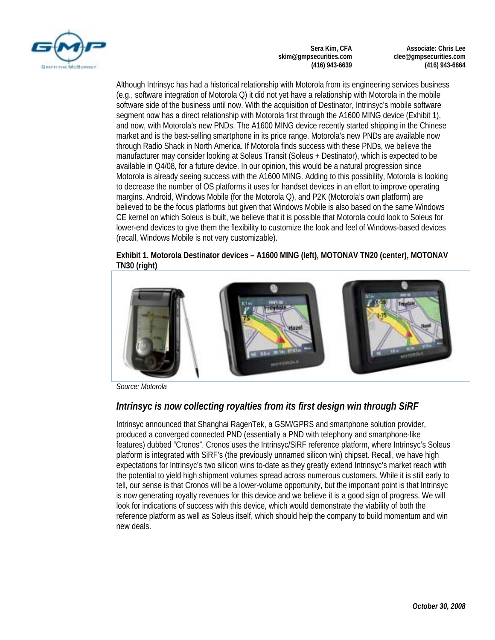

**Associate: Chris Lee clee@gmpsecurities.com (416) 943-6664** 

Although Intrinsyc has had a historical relationship with Motorola from its engineering services business (e.g., software integration of Motorola Q) it did not yet have a relationship with Motorola in the mobile software side of the business until now. With the acquisition of Destinator, Intrinsyc's mobile software segment now has a direct relationship with Motorola first through the A1600 MING device (Exhibit 1), and now, with Motorola's new PNDs. The A1600 MING device recently started shipping in the Chinese market and is the best-selling smartphone in its price range. Motorola's new PNDs are available now through Radio Shack in North America. If Motorola finds success with these PNDs, we believe the manufacturer may consider looking at Soleus Transit (Soleus + Destinator), which is expected to be available in Q4/08, for a future device. In our opinion, this would be a natural progression since Motorola is already seeing success with the A1600 MING. Adding to this possibility, Motorola is looking to decrease the number of OS platforms it uses for handset devices in an effort to improve operating margins. Android, Windows Mobile (for the Motorola Q), and P2K (Motorola's own platform) are believed to be the focus platforms but given that Windows Mobile is also based on the same Windows CE kernel on which Soleus is built, we believe that it is possible that Motorola could look to Soleus for lower-end devices to give them the flexibility to customize the look and feel of Windows-based devices (recall, Windows Mobile is not very customizable).

#### **Exhibit 1. Motorola Destinator devices – A1600 MING (left), MOTONAV TN20 (center), MOTONAV TN30 (right)**



*Source: Motorola* 

# *Intrinsyc is now collecting royalties from its first design win through SiRF*

Intrinsyc announced that Shanghai RagenTek, a GSM/GPRS and smartphone solution provider, produced a converged connected PND (essentially a PND with telephony and smartphone-like features) dubbed "Cronos". Cronos uses the Intrinsyc/SiRF reference platform, where Intrinsyc's Soleus platform is integrated with SiRF's (the previously unnamed silicon win) chipset. Recall, we have high expectations for Intrinsyc's two silicon wins to-date as they greatly extend Intrinsyc's market reach with the potential to yield high shipment volumes spread across numerous customers. While it is still early to tell, our sense is that Cronos will be a lower-volume opportunity, but the important point is that Intrinsyc is now generating royalty revenues for this device and we believe it is a good sign of progress. We will look for indications of success with this device, which would demonstrate the viability of both the reference platform as well as Soleus itself, which should help the company to build momentum and win new deals.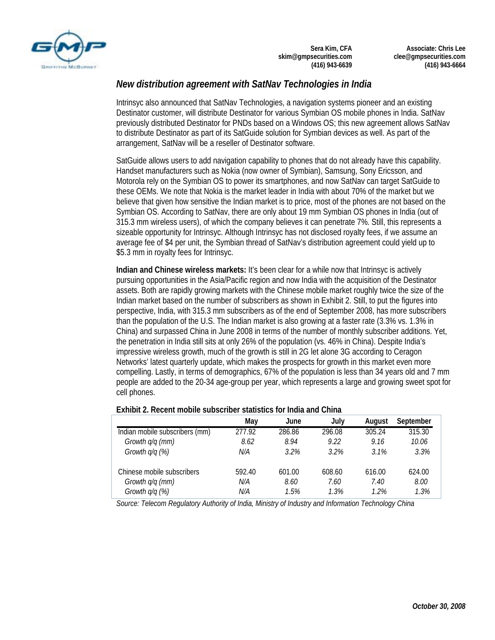

**Associate: Chris Lee clee@gmpsecurities.com (416) 943-6664** 

# *New distribution agreement with SatNav Technologies in India*

Intrinsyc also announced that SatNav Technologies, a navigation systems pioneer and an existing Destinator customer, will distribute Destinator for various Symbian OS mobile phones in India. SatNav previously distributed Destinator for PNDs based on a Windows OS; this new agreement allows SatNav to distribute Destinator as part of its SatGuide solution for Symbian devices as well. As part of the arrangement, SatNav will be a reseller of Destinator software.

SatGuide allows users to add navigation capability to phones that do not already have this capability. Handset manufacturers such as Nokia (now owner of Symbian), Samsung, Sony Ericsson, and Motorola rely on the Symbian OS to power its smartphones, and now SatNav can target SatGuide to these OEMs. We note that Nokia is the market leader in India with about 70% of the market but we believe that given how sensitive the Indian market is to price, most of the phones are not based on the Symbian OS. According to SatNav, there are only about 19 mm Symbian OS phones in India (out of 315.3 mm wireless users), of which the company believes it can penetrate 7%. Still, this represents a sizeable opportunity for Intrinsyc. Although Intrinsyc has not disclosed royalty fees, if we assume an average fee of \$4 per unit, the Symbian thread of SatNav's distribution agreement could yield up to \$5.3 mm in royalty fees for Intrinsyc.

**Indian and Chinese wireless markets:** It's been clear for a while now that Intrinsyc is actively pursuing opportunities in the Asia/Pacific region and now India with the acquisition of the Destinator assets. Both are rapidly growing markets with the Chinese mobile market roughly twice the size of the Indian market based on the number of subscribers as shown in Exhibit 2. Still, to put the figures into perspective, India, with 315.3 mm subscribers as of the end of September 2008, has more subscribers than the population of the U.S. The Indian market is also growing at a faster rate (3.3% vs. 1.3% in China) and surpassed China in June 2008 in terms of the number of monthly subscriber additions. Yet, the penetration in India still sits at only 26% of the population (vs. 46% in China). Despite India's impressive wireless growth, much of the growth is still in 2G let alone 3G according to Ceragon Networks' latest quarterly update, which makes the prospects for growth in this market even more compelling. Lastly, in terms of demographics, 67% of the population is less than 34 years old and 7 mm people are added to the 20-34 age-group per year, which represents a large and growing sweet spot for cell phones.

|                                | Mav    | June   | July   | August | September |
|--------------------------------|--------|--------|--------|--------|-----------|
| Indian mobile subscribers (mm) | 277.92 | 286.86 | 296.08 | 305.24 | 315.30    |
| Growth q/q (mm)                | 8.62   | 8.94   | 9.22   | 9.16   | 10.06     |
| Growth $q/q$ (%)               | N/A    | 3.2%   | 3.2%   | 3.1%   | 3.3%      |
| Chinese mobile subscribers     | 592.40 | 601.00 | 608.60 | 616.00 | 624.00    |
| Growth q/q (mm)                | N/A    | 8.60   | 7.60   | 7.40   | 8.00      |
| Growth $q/q$ (%)               | N/A    | 1.5%   | 1.3%   | 1.2%   | 1.3%      |

#### **Exhibit 2. Recent mobile subscriber statistics for India and China**

*Source: Telecom Regulatory Authority of India, Ministry of Industry and Information Technology China*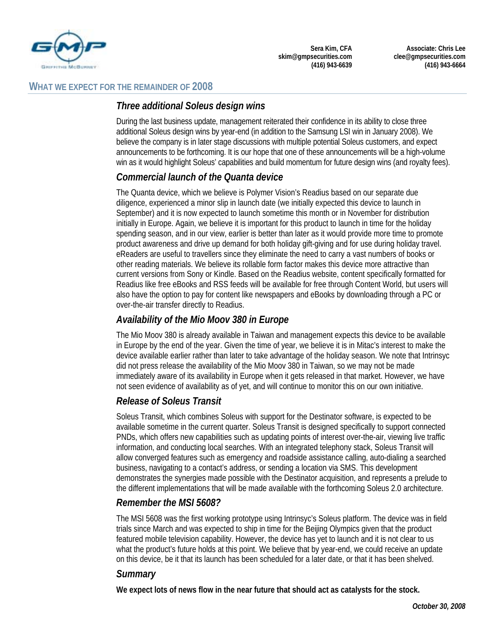

### **WHAT WE EXPECT FOR THE REMAINDER OF 2008**

# *Three additional Soleus design wins*

During the last business update, management reiterated their confidence in its ability to close three additional Soleus design wins by year-end (in addition to the Samsung LSI win in January 2008). We believe the company is in later stage discussions with multiple potential Soleus customers, and expect announcements to be forthcoming. It is our hope that one of these announcements will be a high-volume win as it would highlight Soleus' capabilities and build momentum for future design wins (and royalty fees).

# *Commercial launch of the Quanta device*

The Quanta device, which we believe is Polymer Vision's Readius based on our separate due diligence, experienced a minor slip in launch date (we initially expected this device to launch in September) and it is now expected to launch sometime this month or in November for distribution initially in Europe. Again, we believe it is important for this product to launch in time for the holiday spending season, and in our view, earlier is better than later as it would provide more time to promote product awareness and drive up demand for both holiday gift-giving and for use during holiday travel. eReaders are useful to travellers since they eliminate the need to carry a vast numbers of books or other reading materials. We believe its rollable form factor makes this device more attractive than current versions from Sony or Kindle. Based on the Readius website, content specifically formatted for Readius like free eBooks and RSS feeds will be available for free through Content World, but users will also have the option to pay for content like newspapers and eBooks by downloading through a PC or over-the-air transfer directly to Readius.

# *Availability of the Mio Moov 380 in Europe*

The Mio Moov 380 is already available in Taiwan and management expects this device to be available in Europe by the end of the year. Given the time of year, we believe it is in Mitac's interest to make the device available earlier rather than later to take advantage of the holiday season. We note that Intrinsyc did not press release the availability of the Mio Moov 380 in Taiwan, so we may not be made immediately aware of its availability in Europe when it gets released in that market. However, we have not seen evidence of availability as of yet, and will continue to monitor this on our own initiative.

# *Release of Soleus Transit*

Soleus Transit, which combines Soleus with support for the Destinator software, is expected to be available sometime in the current quarter. Soleus Transit is designed specifically to support connected PNDs, which offers new capabilities such as updating points of interest over-the-air, viewing live traffic information, and conducting local searches. With an integrated telephony stack, Soleus Transit will allow converged features such as emergency and roadside assistance calling, auto-dialing a searched business, navigating to a contact's address, or sending a location via SMS. This development demonstrates the synergies made possible with the Destinator acquisition, and represents a prelude to the different implementations that will be made available with the forthcoming Soleus 2.0 architecture.

# *Remember the MSI 5608?*

The MSI 5608 was the first working prototype using Intrinsyc's Soleus platform. The device was in field trials since March and was expected to ship in time for the Beijing Olympics given that the product featured mobile television capability. However, the device has yet to launch and it is not clear to us what the product's future holds at this point. We believe that by year-end, we could receive an update on this device, be it that its launch has been scheduled for a later date, or that it has been shelved.

# *Summary*

**We expect lots of news flow in the near future that should act as catalysts for the stock.**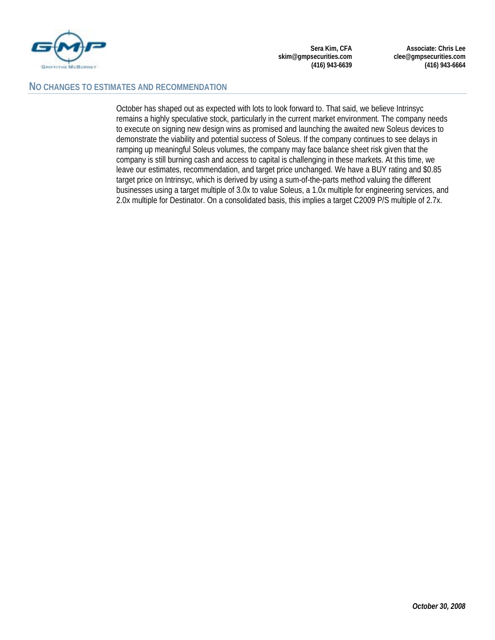

**Associate: Chris Lee clee@gmpsecurities.com (416) 943-6664** 

#### **NO CHANGES TO ESTIMATES AND RECOMMENDATION**

October has shaped out as expected with lots to look forward to. That said, we believe Intrinsyc remains a highly speculative stock, particularly in the current market environment. The company needs to execute on signing new design wins as promised and launching the awaited new Soleus devices to demonstrate the viability and potential success of Soleus. If the company continues to see delays in ramping up meaningful Soleus volumes, the company may face balance sheet risk given that the company is still burning cash and access to capital is challenging in these markets. At this time, we leave our estimates, recommendation, and target price unchanged. We have a BUY rating and \$0.85 target price on Intrinsyc, which is derived by using a sum-of-the-parts method valuing the different businesses using a target multiple of 3.0x to value Soleus, a 1.0x multiple for engineering services, and 2.0x multiple for Destinator. On a consolidated basis, this implies a target C2009 P/S multiple of 2.7x.